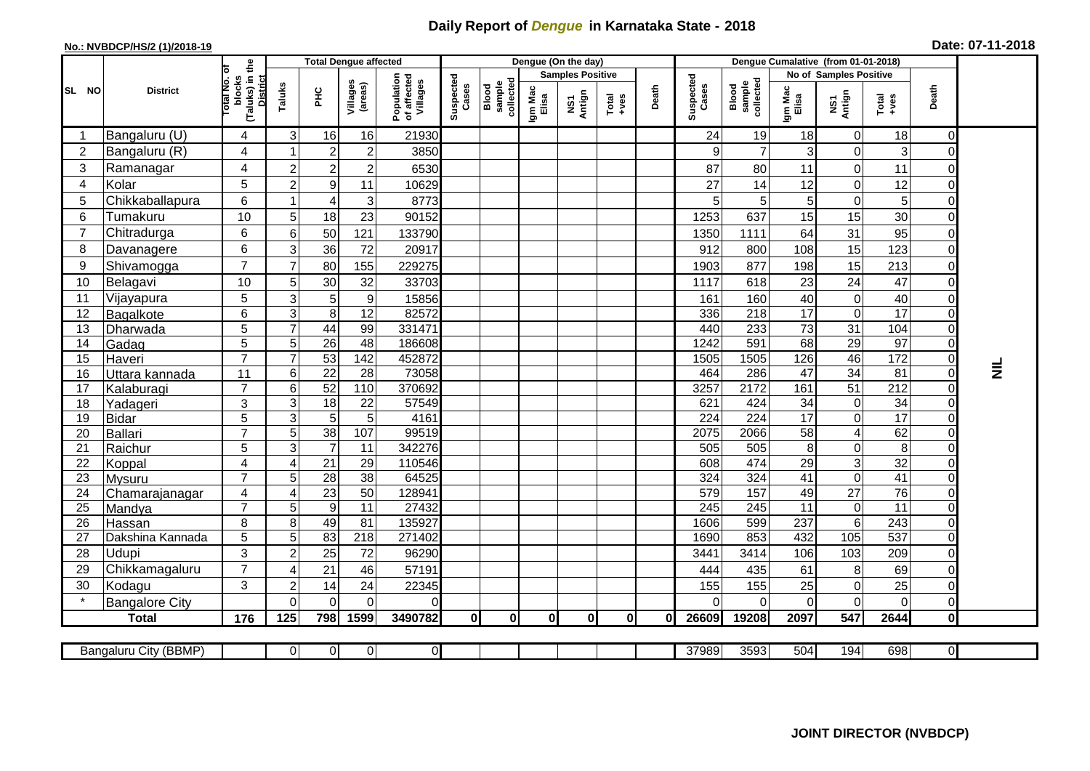## **Daily Report of** *Dengue* **in Karnataka State - 2018**

## **No.: NVBDCP/HS/2 (1)/2018-19 Date: 07-11-2018**

|                |                         |                                                       |                   | <b>Total Dengue affected</b>      |                     |                                       | Dengue (On the day) |                              |                         |               |          |       |                    |                              |                        |                                    |                      |                            |           |
|----------------|-------------------------|-------------------------------------------------------|-------------------|-----------------------------------|---------------------|---------------------------------------|---------------------|------------------------------|-------------------------|---------------|----------|-------|--------------------|------------------------------|------------------------|------------------------------------|----------------------|----------------------------|-----------|
| SL NO          |                         |                                                       |                   |                                   |                     |                                       |                     |                              | <b>Samples Positive</b> |               |          |       |                    |                              | No of Samples Positive |                                    |                      |                            |           |
|                | <b>District</b>         | (Taluks) in the<br>District<br>lotal No. of<br>blocks | Taluks            | PНC                               | Villages<br>(areas) | Population<br>of affected<br>Villages | Suspected<br>Cases  | Blood<br>sample<br>collected | Igm Mac<br>Elisa        | NS1<br>Antign | $Totael$ | Death | Suspected<br>Cases | Blood<br>sample<br>collected | Igm Mac<br>Elisa       | NS1<br>Antign                      | Total<br>+ves        | Death                      |           |
|                | Bangaluru (U)           | 4                                                     | 3                 | 16                                | 16                  | 21930                                 |                     |                              |                         |               |          |       | 24                 | 19                           | 18                     | $\mathbf 0$                        | 18                   | $\Omega$                   |           |
| $\overline{2}$ | Bangaluru (R)           | 4                                                     |                   | $\boldsymbol{2}$                  | $\overline{c}$      | 3850                                  |                     |                              |                         |               |          |       | 9                  | $\overline{7}$               | 3                      | $\boldsymbol{0}$                   | 3                    | 0                          |           |
| 3              | Ramanagar               | $\overline{4}$                                        | $\overline{2}$    | $\overline{2}$                    | $\overline{c}$      | 6530                                  |                     |                              |                         |               |          |       | 87                 | 80                           | 11                     | $\mathbf 0$                        | 11                   | $\Omega$                   |           |
| $\overline{4}$ | Kolar                   | 5                                                     | $\overline{2}$    | $\boldsymbol{9}$                  | 11                  | 10629                                 |                     |                              |                         |               |          |       | 27                 | 14                           | 12                     | $\mathbf 0$                        | 12                   | $\Omega$                   |           |
| 5              | Chikkaballapura         | 6                                                     | 1                 | 4                                 | 3                   | 8773                                  |                     |                              |                         |               |          |       |                    | $\mathbf 5$                  | 5                      | $\boldsymbol{0}$                   | 5                    | $\Omega$                   |           |
| 6              | Tumakuru                | 10                                                    | 5                 | 18                                | 23                  | 90152                                 |                     |                              |                         |               |          |       | 1253               | 637                          | 15                     | 15                                 | 30                   | $\Omega$                   |           |
| 7              | Chitradurga             | 6                                                     | $\,6$             | 50                                | 121                 | 133790                                |                     |                              |                         |               |          |       | 1350               | 1111                         | 64                     | 31                                 | 95                   | $\Omega$                   |           |
| 8              | Davanagere              | 6                                                     | 3                 | 36                                | 72                  | 20917                                 |                     |                              |                         |               |          |       | 912                | 800                          | 108                    | 15                                 | 123                  | $\overline{0}$             |           |
| 9              | Shivamogga              | $\overline{7}$                                        | $\overline{7}$    | 80                                | 155                 | 229275                                |                     |                              |                         |               |          |       | 1903               | 877                          | 198                    | 15                                 | 213                  | $\Omega$                   |           |
| 10             | Belagavi                | 10                                                    | 5                 | 30                                | 32                  | 33703                                 |                     |                              |                         |               |          |       | 1117               | 618                          | 23                     | 24                                 | 47                   | $\mathbf 0$                |           |
| 11             | Vijayapura              | 5                                                     | 3                 | 5                                 | $\boldsymbol{9}$    | 15856                                 |                     |                              |                         |               |          |       | 161                | 160                          | 40                     | $\mathbf 0$                        | 40                   | $\mathbf 0$                |           |
| 12             | Bagalkote               | 6                                                     | 3                 | 8                                 | 12                  | 82572                                 |                     |                              |                         |               |          |       | 336                | 218                          | 17                     | $\mathbf 0$                        | $\overline{17}$      | $\Omega$                   |           |
| 13             | Dharwada                | 5                                                     | $\overline{7}$    | 44                                | 99                  | 331471                                |                     |                              |                         |               |          |       | 440                | 233                          | 73                     | 31                                 | 104                  | $\Omega$                   |           |
| 14             | Gadag                   | $\overline{5}$                                        | 5                 | $\overline{26}$                   | $\overline{48}$     | 186608                                |                     |                              |                         |               |          |       | 1242               | 591                          | 68                     | 29                                 | 97                   | $\Omega$                   |           |
| 15             | Haveri                  | $\overline{7}$                                        | $\overline{7}$    | 53                                | 142                 | 452872                                |                     |                              |                         |               |          |       | 1505               | 1505                         | 126                    | 46                                 | $\frac{1}{172}$      | $\overline{0}$             |           |
| 16             | Uttara kannada          | 11                                                    | $\,6$             | $\overline{22}$                   | 28                  | 73058                                 |                     |                              |                         |               |          |       | 464                | 286                          | $\overline{47}$        | 34                                 | $\overline{81}$      | $\Omega$                   | $\vec{z}$ |
| 17             | Kalaburagi              | $\overline{7}$                                        | $6\phantom{1}6$   | 52                                | 110                 | 370692                                |                     |                              |                         |               |          |       | 3257               | 2172                         | 161                    | 51                                 | $\overline{212}$     | 0                          |           |
| 18             | Yadageri                | 3                                                     | 3                 | $\overline{18}$                   | 22                  | 57549                                 |                     |                              |                         |               |          |       | 621                | 424                          | 34                     | $\boldsymbol{0}$                   | 34                   | $\Omega$                   |           |
| 19             | <b>Bidar</b>            | 5                                                     | $\overline{3}$    | $\overline{5}$                    | $\overline{5}$      | 4161                                  |                     |                              |                         |               |          |       | $\overline{224}$   | $\overline{224}$             | 17                     | $\overline{0}$                     | 17                   | $\Omega$                   |           |
| 20             | Ballari                 | $\overline{7}$                                        | $\sqrt{5}$        | 38                                | 107                 | 99519                                 |                     |                              |                         |               |          |       | 2075               | 2066                         | 58                     | $\overline{\mathbf{4}}$            | 62                   | $\mathbf 0$                |           |
| 21<br>22       | Raichur                 | 5<br>$\overline{\mathbf{4}}$                          | $\mathbf{3}$<br>4 | $\overline{7}$<br>$\overline{21}$ | 11<br>29            | 342276<br>110546                      |                     |                              |                         |               |          |       | 505<br>608         | 505<br>474                   | 8<br>$\overline{29}$   | $\boldsymbol{0}$<br>$\overline{3}$ | $\overline{8}$<br>32 | $\mathbf 0$<br>$\mathbf 0$ |           |
| 23             | Koppal<br><b>Mysuru</b> | $\overline{7}$                                        | 5                 | $\overline{28}$                   | 38                  | 64525                                 |                     |                              |                         |               |          |       | 324                | 324                          | 41                     | $\mathbf 0$                        | $\overline{41}$      | $\Omega$                   |           |
| 24             | Chamarajanagar          | 4                                                     | $\overline{4}$    | 23                                | $\overline{50}$     | 128941                                |                     |                              |                         |               |          |       | 579                | 157                          | 49                     | 27                                 | 76                   | $\mathbf 0$                |           |
| 25             | Mandya                  | $\overline{7}$                                        | 5                 | $\overline{9}$                    | 11                  | 27432                                 |                     |                              |                         |               |          |       | 245                | 245                          | 11                     | $\pmb{0}$                          | 11                   | $\mathbf 0$                |           |
| 26             | Hassan                  | 8                                                     | 8                 | 49                                | 81                  | 135927                                |                     |                              |                         |               |          |       | 1606               | 599                          | 237                    | $\overline{6}$                     | $\overline{243}$     | $\mathbf 0$                |           |
| 27             | Dakshina Kannada        | 5                                                     | $\sqrt{5}$        | 83                                | 218                 | 271402                                |                     |                              |                         |               |          |       | 1690               | 853                          | 432                    | $\frac{105}{105}$                  | 537                  | $\overline{0}$             |           |
| 28             | Udupi                   | 3                                                     | $\overline{2}$    | 25                                | 72                  | 96290                                 |                     |                              |                         |               |          |       | 3441               | 3414                         | 106                    | 103                                | 209                  | $\Omega$                   |           |
| 29             | Chikkamagaluru          | $\overline{7}$                                        | 4                 | 21                                | 46                  | 57191                                 |                     |                              |                         |               |          |       | 444                | 435                          | 61                     | 8                                  | 69                   | $\Omega$                   |           |
| 30             | Kodagu                  | 3                                                     | $\overline{c}$    | 14                                | 24                  | 22345                                 |                     |                              |                         |               |          |       | 155                | 155                          | 25                     | $\pmb{0}$                          | 25                   | $\mathbf 0$                |           |
|                | <b>Bangalore City</b>   |                                                       | $\Omega$          | $\mathbf{0}$                      | $\Omega$            | 0                                     |                     |                              |                         |               |          |       |                    | $\Omega$                     | 0                      | $\mathbf 0$                        | $\mathbf 0$          | $\overline{0}$             |           |
|                | <b>Total</b>            | 176                                                   | 125               | 798                               | 1599                | 3490782                               | 0                   | $\mathbf{0}$                 | 0I                      | $\mathbf{0}$  | 0I       | 0l    | 26609              | 19208                        | 2097                   | 547                                | 2644                 | Οl                         |           |
|                |                         |                                                       |                   |                                   |                     |                                       |                     |                              |                         |               |          |       |                    |                              |                        |                                    |                      |                            |           |
|                | Bangaluru City (BBMP)   |                                                       | $\overline{0}$    | $\overline{0}$                    | $\overline{0}$      | 0                                     |                     |                              |                         |               |          |       | 37989              | 3593                         | 504                    | 194                                | 698                  | $\overline{\mathsf{d}}$    |           |